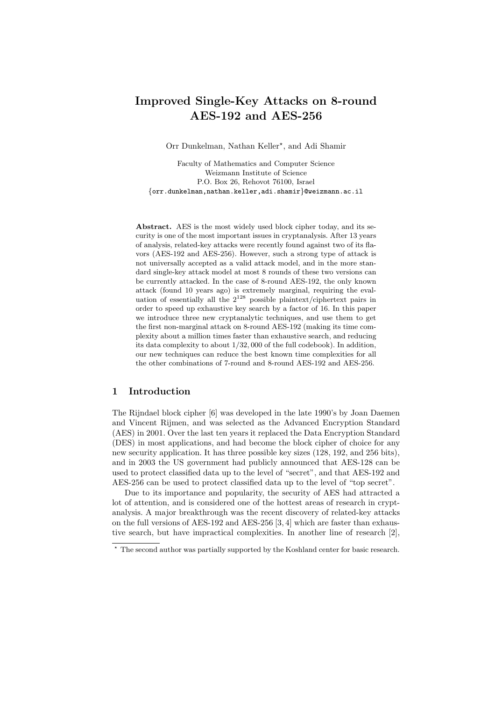# Improved Single-Key Attacks on 8-round AES-192 and AES-256

Orr Dunkelman, Nathan Keller<sup>\*</sup>, and Adi Shamir

Faculty of Mathematics and Computer Science Weizmann Institute of Science P.O. Box 26, Rehovot 76100, Israel {orr.dunkelman,nathan.keller,adi.shamir}@weizmann.ac.il

Abstract. AES is the most widely used block cipher today, and its security is one of the most important issues in cryptanalysis. After 13 years of analysis, related-key attacks were recently found against two of its flavors (AES-192 and AES-256). However, such a strong type of attack is not universally accepted as a valid attack model, and in the more standard single-key attack model at most 8 rounds of these two versions can be currently attacked. In the case of 8-round AES-192, the only known attack (found 10 years ago) is extremely marginal, requiring the evaluation of essentially all the  $2^{128}$  possible plaintext/ciphertext pairs in order to speed up exhaustive key search by a factor of 16. In this paper we introduce three new cryptanalytic techniques, and use them to get the first non-marginal attack on 8-round AES-192 (making its time complexity about a million times faster than exhaustive search, and reducing its data complexity to about 1/32, 000 of the full codebook). In addition, our new techniques can reduce the best known time complexities for all the other combinations of 7-round and 8-round AES-192 and AES-256.

### 1 Introduction

The Rijndael block cipher [6] was developed in the late 1990's by Joan Daemen and Vincent Rijmen, and was selected as the Advanced Encryption Standard (AES) in 2001. Over the last ten years it replaced the Data Encryption Standard (DES) in most applications, and had become the block cipher of choice for any new security application. It has three possible key sizes (128, 192, and 256 bits), and in 2003 the US government had publicly announced that AES-128 can be used to protect classified data up to the level of "secret", and that AES-192 and AES-256 can be used to protect classified data up to the level of "top secret".

Due to its importance and popularity, the security of AES had attracted a lot of attention, and is considered one of the hottest areas of research in cryptanalysis. A major breakthrough was the recent discovery of related-key attacks on the full versions of AES-192 and AES-256 [3, 4] which are faster than exhaustive search, but have impractical complexities. In another line of research [2],

<sup>⋆</sup> The second author was partially supported by the Koshland center for basic research.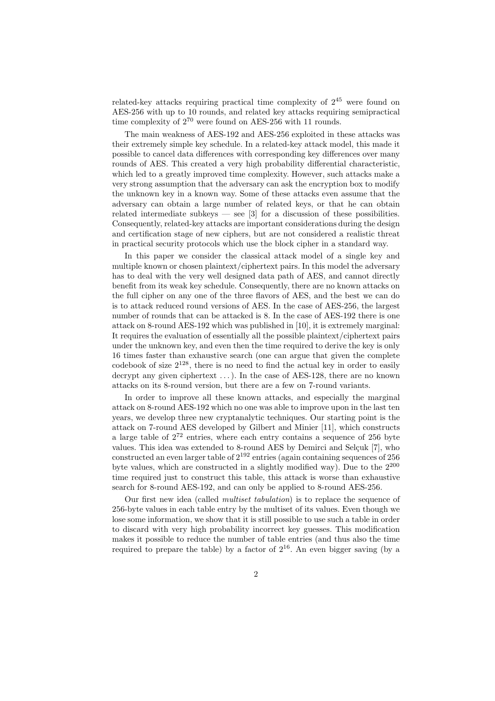related-key attacks requiring practical time complexity of  $2^{45}$  were found on AES-256 with up to 10 rounds, and related key attacks requiring semipractical time complexity of  $2^{70}$  were found on AES-256 with 11 rounds.

The main weakness of AES-192 and AES-256 exploited in these attacks was their extremely simple key schedule. In a related-key attack model, this made it possible to cancel data differences with corresponding key differences over many rounds of AES. This created a very high probability differential characteristic, which led to a greatly improved time complexity. However, such attacks make a very strong assumption that the adversary can ask the encryption box to modify the unknown key in a known way. Some of these attacks even assume that the adversary can obtain a large number of related keys, or that he can obtain related intermediate subkeys — see  $\lceil 3 \rceil$  for a discussion of these possibilities. Consequently, related-key attacks are important considerations during the design and certification stage of new ciphers, but are not considered a realistic threat in practical security protocols which use the block cipher in a standard way.

In this paper we consider the classical attack model of a single key and multiple known or chosen plaintext/ciphertext pairs. In this model the adversary has to deal with the very well designed data path of AES, and cannot directly benefit from its weak key schedule. Consequently, there are no known attacks on the full cipher on any one of the three flavors of AES, and the best we can do is to attack reduced round versions of AES. In the case of AES-256, the largest number of rounds that can be attacked is 8. In the case of AES-192 there is one attack on 8-round AES-192 which was published in [10], it is extremely marginal: It requires the evaluation of essentially all the possible plaintext/ciphertext pairs under the unknown key, and even then the time required to derive the key is only 16 times faster than exhaustive search (one can argue that given the complete codebook of size  $2^{128}$ , there is no need to find the actual key in order to easily decrypt any given ciphertext . . . ). In the case of AES-128, there are no known attacks on its 8-round version, but there are a few on 7-round variants.

In order to improve all these known attacks, and especially the marginal attack on 8-round AES-192 which no one was able to improve upon in the last ten years, we develop three new cryptanalytic techniques. Our starting point is the attack on 7-round AES developed by Gilbert and Minier [11], which constructs a large table of  $2^{72}$  entries, where each entry contains a sequence of 256 byte values. This idea was extended to 8-round AES by Demirci and Selçuk [7], who constructed an even larger table of  $2^{192}$  entries (again containing sequences of 256 byte values, which are constructed in a slightly modified way). Due to the  $2^{200}$ time required just to construct this table, this attack is worse than exhaustive search for 8-round AES-192, and can only be applied to 8-round AES-256.

Our first new idea (called *multiset tabulation*) is to replace the sequence of 256-byte values in each table entry by the multiset of its values. Even though we lose some information, we show that it is still possible to use such a table in order to discard with very high probability incorrect key guesses. This modification makes it possible to reduce the number of table entries (and thus also the time required to prepare the table) by a factor of  $2^{16}$ . An even bigger saving (by a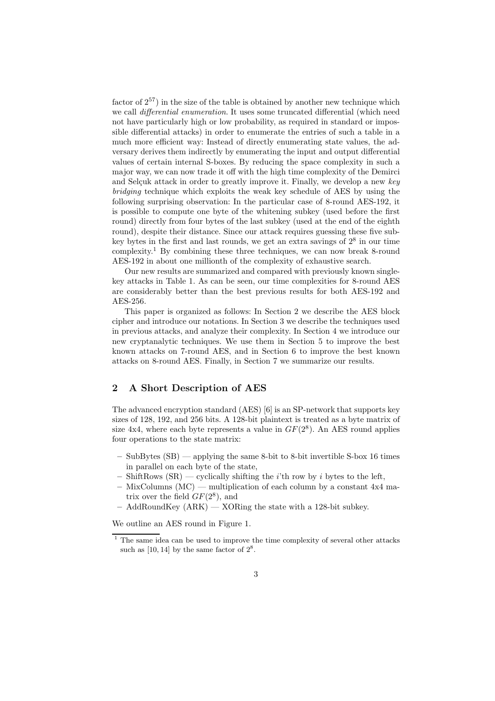factor of  $2^{57}$ ) in the size of the table is obtained by another new technique which we call *differential enumeration*. It uses some truncated differential (which need not have particularly high or low probability, as required in standard or impossible differential attacks) in order to enumerate the entries of such a table in a much more efficient way: Instead of directly enumerating state values, the adversary derives them indirectly by enumerating the input and output differential values of certain internal S-boxes. By reducing the space complexity in such a major way, we can now trade it off with the high time complexity of the Demirci and Selçuk attack in order to greatly improve it. Finally, we develop a new *key bridging* technique which exploits the weak key schedule of AES by using the following surprising observation: In the particular case of 8-round AES-192, it is possible to compute one byte of the whitening subkey (used before the first round) directly from four bytes of the last subkey (used at the end of the eighth round), despite their distance. Since our attack requires guessing these five subkey bytes in the first and last rounds, we get an extra savings of 2<sup>8</sup> in our time complexity.<sup>1</sup> By combining these three techniques, we can now break 8-round AES-192 in about one millionth of the complexity of exhaustive search.

Our new results are summarized and compared with previously known singlekey attacks in Table 1. As can be seen, our time complexities for 8-round AES are considerably better than the best previous results for both AES-192 and AES-256.

This paper is organized as follows: In Section 2 we describe the AES block cipher and introduce our notations. In Section 3 we describe the techniques used in previous attacks, and analyze their complexity. In Section 4 we introduce our new cryptanalytic techniques. We use them in Section 5 to improve the best known attacks on 7-round AES, and in Section 6 to improve the best known attacks on 8-round AES. Finally, in Section 7 we summarize our results.

# 2 A Short Description of AES

The advanced encryption standard (AES) [6] is an SP-network that supports key sizes of 128, 192, and 256 bits. A 128-bit plaintext is treated as a byte matrix of size  $4x4$ , where each byte represents a value in  $GF(2<sup>8</sup>)$ . An AES round applies four operations to the state matrix:

- SubBytes  $(SB)$  applying the same 8-bit to 8-bit invertible S-box 16 times in parallel on each byte of the state,
- ShiftRows  $(SR)$  cyclically shifting the *i*'th row by *i* bytes to the left,
- $-$  MixColumns (MC) multiplication of each column by a constant  $4x4$  matrix over the field  $GF(2^8)$ , and
- $-$  AddRoundKey (ARK)  $-$  XORing the state with a 128-bit subkey.

We outline an AES round in Figure 1.

 $1$  The same idea can be used to improve the time complexity of several other attacks such as  $[10, 14]$  by the same factor of  $2^8$ .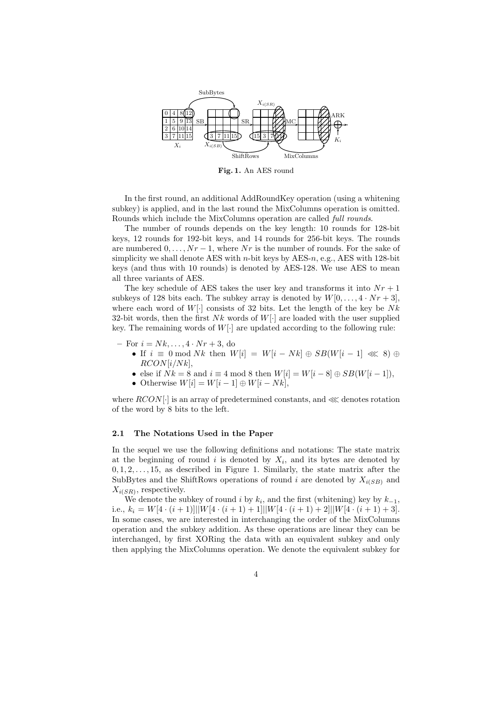

Fig. 1. An AES round

In the first round, an additional AddRoundKey operation (using a whitening subkey) is applied, and in the last round the MixColumns operation is omitted. Rounds which include the MixColumns operation are called *full rounds*.

The number of rounds depends on the key length: 10 rounds for 128-bit keys, 12 rounds for 192-bit keys, and 14 rounds for 256-bit keys. The rounds are numbered  $0, \ldots, Nr-1$ , where Nr is the number of rounds. For the sake of simplicity we shall denote AES with  $n$ -bit keys by AES-n, e.g., AES with 128-bit keys (and thus with 10 rounds) is denoted by AES-128. We use AES to mean all three variants of AES.

The key schedule of AES takes the user key and transforms it into  $Nr+1$ subkeys of 128 bits each. The subkey array is denoted by  $W[0, \ldots, 4 \cdot Nr + 3]$ , where each word of  $W[\cdot]$  consists of 32 bits. Let the length of the key be Nk 32-bit words, then the first  $Nk$  words of  $W[\cdot]$  are loaded with the user supplied key. The remaining words of  $W[\cdot]$  are updated according to the following rule:

- For  $i = Nk, ..., 4 \cdot Nr + 3$ , do
	- If  $i \equiv 0 \mod Nk$  then  $W[i] = W[i Nk] \oplus SB(W[i 1] \ll 8) \oplus$  $RCON[i/Nk],$
	- else if  $Nk = 8$  and  $i \equiv 4 \mod 8$  then  $W[i] = W[i 8] \oplus SB(W[i 1]),$
	- Otherwise  $W[i] = W[i-1] \oplus W[i-Nk],$

where  $RCON[\cdot]$  is an array of predetermined constants, and  $\ll$  denotes rotation of the word by 8 bits to the left.

#### 2.1 The Notations Used in the Paper

In the sequel we use the following definitions and notations: The state matrix at the beginning of round  $i$  is denoted by  $X_i$ , and its bytes are denoted by  $0, 1, 2, \ldots, 15$ , as described in Figure 1. Similarly, the state matrix after the SubBytes and the ShiftRows operations of round i are denoted by  $X_{i(SB)}$  and  $X_{i(SR)}$ , respectively.

We denote the subkey of round i by  $k_i$ , and the first (whitening) key by  $k_{-1}$ , i.e.,  $k_i = W[4 \cdot (i+1)] \mid W[4 \cdot (i+1) + 1] \mid W[4 \cdot (i+1) + 2] \mid W[4 \cdot (i+1) + 3]$ . In some cases, we are interested in interchanging the order of the MixColumns operation and the subkey addition. As these operations are linear they can be interchanged, by first XORing the data with an equivalent subkey and only then applying the MixColumns operation. We denote the equivalent subkey for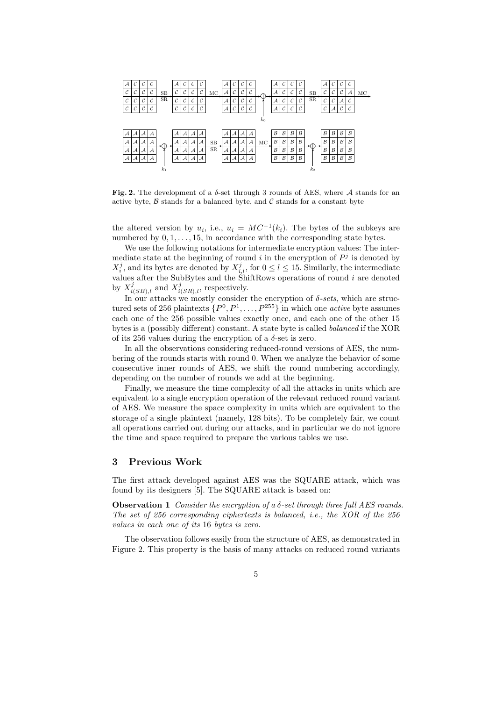

Fig. 2. The development of a  $\delta$ -set through 3 rounds of AES, where A stands for an active byte,  $\beta$  stands for a balanced byte, and  $\beta$  stands for a constant byte

the altered version by  $u_i$ , i.e.,  $u_i = MC^{-1}(k_i)$ . The bytes of the subkeys are numbered by  $0, 1, \ldots, 15$ , in accordance with the corresponding state bytes.

We use the following notations for intermediate encryption values: The intermediate state at the beginning of round  $i$  in the encryption of  $P<sup>j</sup>$  is denoted by  $X_i^j$ , and its bytes are denoted by  $X_{i,l}^j$ , for  $0 \le l \le 15$ . Similarly, the intermediate values after the SubBytes and the ShiftRows operations of round  $i$  are denoted by  $X_{i(SB),l}^j$  and  $X_{i(SR),l}^j$ , respectively.

In our attacks we mostly consider the encryption of  $\delta$ -sets, which are structured sets of 256 plaintexts  $\{P^0, P^1, \ldots, P^{255}\}$  in which one *active* byte assumes each one of the 256 possible values exactly once, and each one of the other 15 bytes is a (possibly different) constant. A state byte is called *balanced* if the XOR of its 256 values during the encryption of a  $\delta$ -set is zero.

In all the observations considering reduced-round versions of AES, the numbering of the rounds starts with round 0. When we analyze the behavior of some consecutive inner rounds of AES, we shift the round numbering accordingly, depending on the number of rounds we add at the beginning.

Finally, we measure the time complexity of all the attacks in units which are equivalent to a single encryption operation of the relevant reduced round variant of AES. We measure the space complexity in units which are equivalent to the storage of a single plaintext (namely, 128 bits). To be completely fair, we count all operations carried out during our attacks, and in particular we do not ignore the time and space required to prepare the various tables we use.

### 3 Previous Work

The first attack developed against AES was the SQUARE attack, which was found by its designers [5]. The SQUARE attack is based on:

Observation 1 *Consider the encryption of a* δ*-set through three full AES rounds. The set of 256 corresponding ciphertexts is balanced, i.e., the XOR of the 256 values in each one of its* 16 *bytes is zero.*

The observation follows easily from the structure of AES, as demonstrated in Figure 2. This property is the basis of many attacks on reduced round variants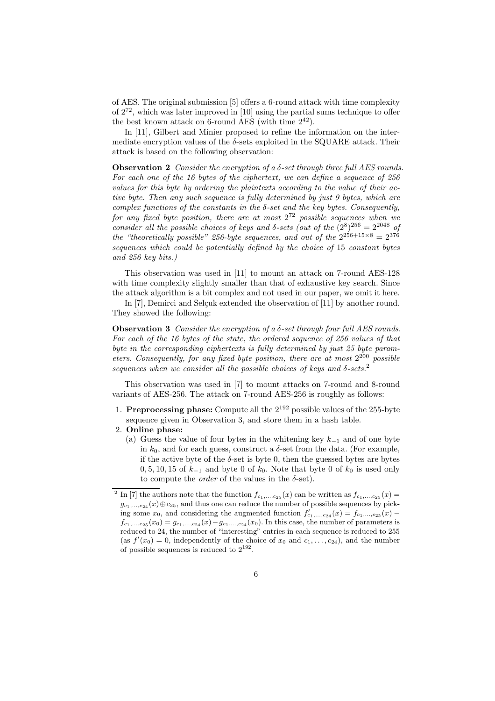of AES. The original submission [5] offers a 6-round attack with time complexity of  $2^{72}$ , which was later improved in [10] using the partial sums technique to offer the best known attack on 6-round AES (with time  $2^{42}$ ).

In [11], Gilbert and Minier proposed to refine the information on the intermediate encryption values of the  $\delta$ -sets exploited in the SQUARE attack. Their attack is based on the following observation:

**Observation 2** *Consider the encryption of a*  $\delta$ -set through three full AES rounds. *For each one of the 16 bytes of the ciphertext, we can define a sequence of 256 values for this byte by ordering the plaintexts according to the value of their active byte. Then any such sequence is fully determined by just 9 bytes, which are complex functions of the constants in the* δ*-set and the key bytes. Consequently, for any fixed byte position, there are at most* 2 <sup>72</sup> *possible sequences when we consider all the possible choices of keys and*  $\delta$ -sets (out of the  $(2^8)^{256} = 2^{2048}$  of *the "theoretically possible" 256-byte sequences, and out of the*  $2^{256+15\times8} = 2^{376}$ *sequences which could be potentially defined by the choice of* 15 *constant bytes and 256 key bits.)*

This observation was used in [11] to mount an attack on 7-round AES-128 with time complexity slightly smaller than that of exhaustive key search. Since the attack algorithm is a bit complex and not used in our paper, we omit it here.

In  $[7]$ , Demirci and Selçuk extended the observation of  $[11]$  by another round. They showed the following:

Observation 3 *Consider the encryption of a* δ*-set through four full AES rounds. For each of the 16 bytes of the state, the ordered sequence of 256 values of that byte in the corresponding ciphertexts is fully determined by just 25 byte parameters. Consequently, for any fixed byte position, there are at most* 2 <sup>200</sup> *possible sequences when we consider all the possible choices of keys and* δ*-sets.*<sup>2</sup>

This observation was used in [7] to mount attacks on 7-round and 8-round variants of AES-256. The attack on 7-round AES-256 is roughly as follows:

- 1. **Preprocessing phase:** Compute all the  $2^{192}$  possible values of the 255-byte sequence given in Observation 3, and store them in a hash table.
- 2. Online phase:
	- (a) Guess the value of four bytes in the whitening key  $k_{-1}$  and of one byte in  $k_0$ , and for each guess, construct a  $\delta$ -set from the data. (For example, if the active byte of the  $\delta$ -set is byte 0, then the guessed bytes are bytes  $0, 5, 10, 15$  of  $k_{-1}$  and byte 0 of  $k_0$ . Note that byte 0 of  $k_0$  is used only to compute the *order* of the values in the  $\delta$ -set).

<sup>&</sup>lt;sup>2</sup> In [7] the authors note that the function  $f_{c_1,...,c_{25}}(x)$  can be written as  $f_{c_1,...,c_{25}}(x)$  =  $g_{c_1,\ldots,c_{24}}(x)\oplus c_{25}$ , and thus one can reduce the number of possible sequences by picking some  $x_0$ , and considering the augmented function  $f'_{c_1,\ldots,c_{24}}(x) = f_{c_1,\ldots,c_{25}}(x)$  $f_{c_1,...,c_{25}}(x_0) = g_{c_1,...,c_{24}}(x) - g_{c_1,...,c_{24}}(x_0)$ . In this case, the number of parameters is reduced to 24, the number of "interesting" entries in each sequence is reduced to 255 (as  $f'(x_0) = 0$ , independently of the choice of  $x_0$  and  $c_1, \ldots, c_{24}$ ), and the number of possible sequences is reduced to  $2^{192}$ .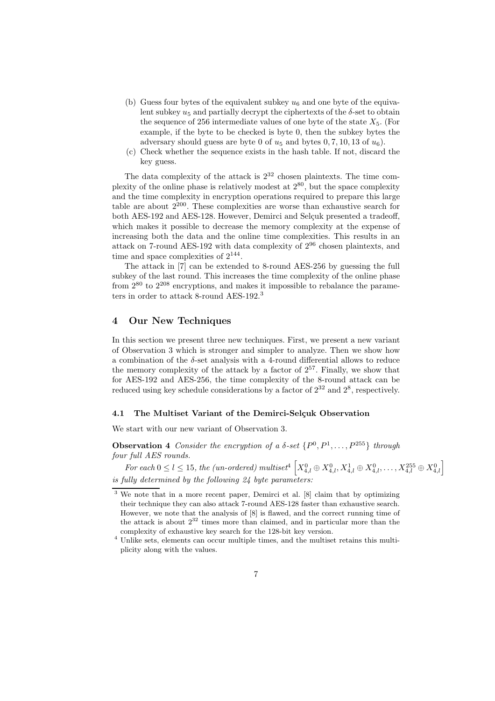- (b) Guess four bytes of the equivalent subkey  $u_6$  and one byte of the equivalent subkey  $u_5$  and partially decrypt the ciphertexts of the  $\delta$ -set to obtain the sequence of 256 intermediate values of one byte of the state  $X_5$ . (For example, if the byte to be checked is byte 0, then the subkey bytes the adversary should guess are byte 0 of  $u_5$  and bytes 0, 7, 10, 13 of  $u_6$ ).
- (c) Check whether the sequence exists in the hash table. If not, discard the key guess.

The data complexity of the attack is  $2^{32}$  chosen plaintexts. The time complexity of the online phase is relatively modest at  $2^{80}$ , but the space complexity and the time complexity in encryption operations required to prepare this large table are about  $2^{200}$ . These complexities are worse than exhaustive search for both AES-192 and AES-128. However, Demirci and Selcuk presented a tradeoff, which makes it possible to decrease the memory complexity at the expense of increasing both the data and the online time complexities. This results in an attack on 7-round AES-192 with data complexity of  $2^{96}$  chosen plaintexts, and time and space complexities of  $2^{144}$ .

The attack in [7] can be extended to 8-round AES-256 by guessing the full subkey of the last round. This increases the time complexity of the online phase from 2<sup>80</sup> to 2<sup>208</sup> encryptions, and makes it impossible to rebalance the parameters in order to attack 8-round AES-192.<sup>3</sup>

# 4 Our New Techniques

In this section we present three new techniques. First, we present a new variant of Observation 3 which is stronger and simpler to analyze. Then we show how a combination of the  $\delta$ -set analysis with a 4-round differential allows to reduce the memory complexity of the attack by a factor of  $2^{57}$ . Finally, we show that for AES-192 and AES-256, the time complexity of the 8-round attack can be reduced using key schedule considerations by a factor of  $2^{32}$  and  $2^8$ , respectively.

### 4.1 The Multiset Variant of the Demirci-Selçuk Observation

We start with our new variant of Observation 3.

**Observation 4** *Consider the encryption of a*  $\delta$ -set  $\{P^0, P^1, \ldots, P^{255}\}\$  *through four full AES rounds.*

 $For each 0 \le l \le 15, the (un-ordered) \ multiset^4 \ \Big[ X_{4,l}^0 \oplus X_{4,l}^0, X_{4,l}^1 \oplus X_{4,l}^0, \ldots, X_{4,l}^{255} \oplus X_{4,l}^0 \Big]$ *is fully determined by the following 24 byte parameters:*

<sup>3</sup> We note that in a more recent paper, Demirci et al. [8] claim that by optimizing their technique they can also attack 7-round AES-128 faster than exhaustive search. However, we note that the analysis of [8] is flawed, and the correct running time of the attack is about  $2^{32}$  times more than claimed, and in particular more than the complexity of exhaustive key search for the 128-bit key version.

<sup>4</sup> Unlike sets, elements can occur multiple times, and the multiset retains this multiplicity along with the values.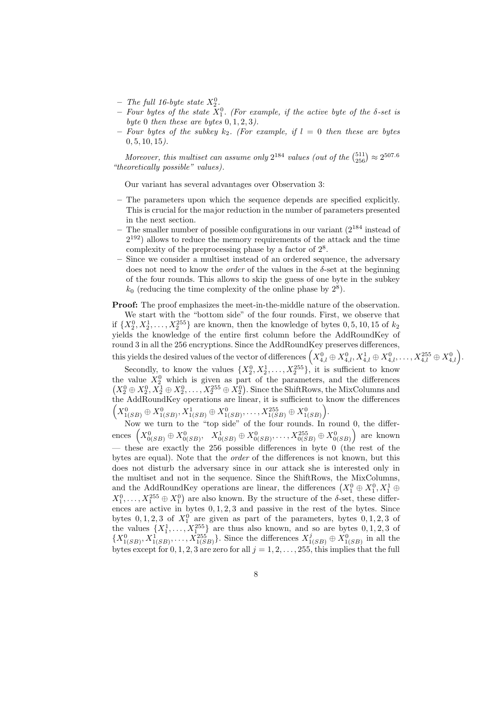- $-$  *The full 16-byte state*  $X_2^0$ .
- $-$  *Four bytes of the state*  $X_1^0$ . (For example, if the active byte of the  $\delta$ -set is *byte* 0 *then these are bytes* 0, 1, 2, 3*).*
- $-$  *Four bytes of the subkey*  $k_2$ *. (For example, if*  $l = 0$  *then these are bytes* 0, 5, 10, 15*).*

Moreover, this multiset can assume only  $2^{184}$  values (out of the  $\binom{511}{256} \approx 2^{507.6}$ *"theoretically possible" values).*

Our variant has several advantages over Observation 3:

- The parameters upon which the sequence depends are specified explicitly. This is crucial for the major reduction in the number of parameters presented in the next section.
- The smaller number of possible configurations in our variant  $(2^{184} \text{ instead of})$ 2 <sup>192</sup>) allows to reduce the memory requirements of the attack and the time complexity of the preprocessing phase by a factor of  $2^8$ .
- Since we consider a multiset instead of an ordered sequence, the adversary does not need to know the *order* of the values in the δ-set at the beginning of the four rounds. This allows to skip the guess of one byte in the subkey  $k_0$  (reducing the time complexity of the online phase by  $2^8$ ).

Proof: The proof emphasizes the meet-in-the-middle nature of the observation. We start with the "bottom side" of the four rounds. First, we observe that if  $\{X_2^0, X_2^1, \ldots, X_2^{255}\}$  are known, then the knowledge of bytes  $0, 5, 10, 15$  of  $k_2$ yields the knowledge of the entire first column before the AddRoundKey of round 3 in all the 256 encryptions. Since the AddRoundKey preserves differences, this yields the desired values of the vector of differences  $\left(X_{4,l}^0 \oplus X_{4,l}^0, X_{4,l}^1 \oplus X_{4,l}^0, \ldots, X_{4,l}^{255} \oplus X_{4,l}^0\right)$ .

Secondly, to know the values  $\{X_2^0, X_2^1, \ldots, X_2^{255}\}$ , it is sufficient to know the value  $X_2^0$  which is given as part of the parameters, and the differences  $(X_2^0 \oplus X_2^0, X_2^1 \oplus X_2^0, \ldots, X_2^{255} \oplus X_2^0)$ . Since the ShiftRows, the MixColumns and the AddRoundKey operations are linear, it is sufficient to know the differences  $\Big(X_{1(SB)}^0 \oplus X_{1(SB)}^0, X_{1(SB)}^1 \oplus X_{1(SB)}^0, \ldots, X_{1(SB)}^{255} \oplus X_{1(SB)}^0\Big).$ 

Now we turn to the "top side" of the four rounds. In round 0, the differ- $\text{ences } \left(X_{0(SB)}^0 \oplus X_{0(SB)}^0, \;\; X_{0(SB)}^1 \oplus X_{0(SB)}^0, \ldots, X_{0(SB)}^{255} \oplus X_{0(SB)}^0\right) \text{ are known}$ — these are exactly the 256 possible differences in byte 0 (the rest of the bytes are equal). Note that the *order* of the differences is not known, but this does not disturb the adversary since in our attack she is interested only in the multiset and not in the sequence. Since the ShiftRows, the MixColumns, and the AddRoundKey operations are linear, the differences  $(X_1^0 \oplus X_1^0, X_1^1 \oplus$  $X_1^0, \ldots, X_1^{255} \oplus X_1^0$  are also known. By the structure of the  $\delta$ -set, these differences are active in bytes  $0, 1, 2, 3$  and passive in the rest of the bytes. Since bytes  $0, 1, 2, 3$  of  $X_1^0$  are given as part of the parameters, bytes  $0, 1, 2, 3$  of the values  $\{X_1^1, \ldots, X_{1}^{255}\}\$  are thus also known, and so are bytes  $0, 1, 2, 3$  of  $\{X_{1(SB)}^0, X_{1(SB)}^1, \ldots, X_{1(SB)}^{255}\}\.$  Since the differences  $X_{1(SB)}^j \oplus X_{1(SB)}^0$  in all the bytes except for  $0, 1, 2, 3$  are zero for all  $j = 1, 2, \ldots, 255$ , this implies that the full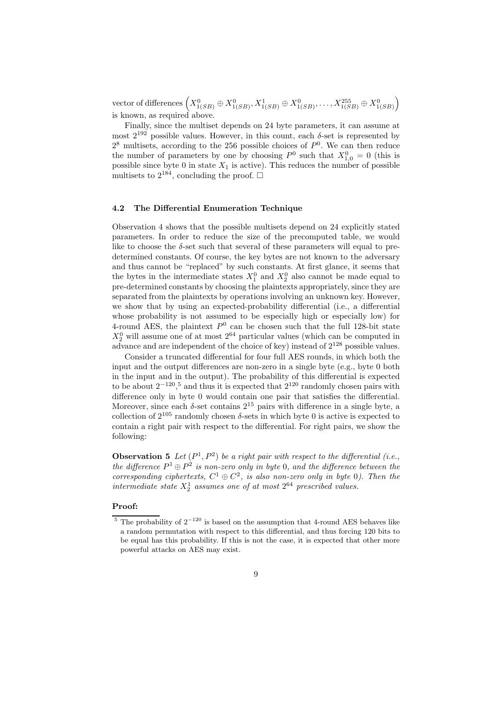${\rm vector~of~differences~} \Big(X_{1(SB)}^{0} \oplus X_{1(SB)}^{0}, X_{1(SB)}^{1} \oplus X_{1(SB)}^{0}, \ldots, X_{1(SB)}^{255} \oplus X_{1(SB)}^{0} \Big)$ is known, as required above.

Finally, since the multiset depends on 24 byte parameters, it can assume at most  $2^{192}$  possible values. However, in this count, each  $\delta$ -set is represented by  $2^8$  multisets, according to the 256 possible choices of  $P^0$ . We can then reduce the number of parameters by one by choosing  $P^0$  such that  $X_{1,0}^0 = 0$  (this is possible since byte 0 in state  $X_1$  is active). This reduces the number of possible multisets to  $2^{184}$ , concluding the proof.  $\square$ 

#### 4.2 The Differential Enumeration Technique

Observation 4 shows that the possible multisets depend on 24 explicitly stated parameters. In order to reduce the size of the precomputed table, we would like to choose the  $\delta$ -set such that several of these parameters will equal to predetermined constants. Of course, the key bytes are not known to the adversary and thus cannot be "replaced" by such constants. At first glance, it seems that the bytes in the intermediate states  $X_1^0$  and  $X_2^0$  also cannot be made equal to pre-determined constants by choosing the plaintexts appropriately, since they are separated from the plaintexts by operations involving an unknown key. However, we show that by using an expected-probability differential (i.e., a differential whose probability is not assumed to be especially high or especially low) for 4-round AES, the plaintext  $P^0$  can be chosen such that the full 128-bit state  $X_2^0$  will assume one of at most  $2^{64}$  particular values (which can be computed in advance and are independent of the choice of key) instead of  $2^{128}$  possible values.

Consider a truncated differential for four full AES rounds, in which both the input and the output differences are non-zero in a single byte (e.g., byte 0 both in the input and in the output). The probability of this differential is expected to be about  $2^{-120}$ ,<sup>5</sup> and thus it is expected that  $2^{120}$  randomly chosen pairs with difference only in byte 0 would contain one pair that satisfies the differential. Moreover, since each  $\delta$ -set contains  $2^{15}$  pairs with difference in a single byte, a collection of  $2^{105}$  randomly chosen  $\delta$ -sets in which byte 0 is active is expected to contain a right pair with respect to the differential. For right pairs, we show the following:

**Observation 5** Let  $(P^1, P^2)$  be a right pair with respect to the differential (i.e., *the difference*  $P^1 \oplus P^2$  *is non-zero only in byte* 0*, and the difference between the corresponding ciphertexts,*  $C^1 \oplus C^2$ *, is also non-zero only in byte* 0*)*. Then the *intermediate state*  $X_2^1$  *assumes one of at most*  $2^{64}$  *prescribed values.* 

#### Proof:

<sup>&</sup>lt;sup>5</sup> The probability of  $2^{-120}$  is based on the assumption that 4-round AES behaves like a random permutation with respect to this differential, and thus forcing 120 bits to be equal has this probability. If this is not the case, it is expected that other more powerful attacks on AES may exist.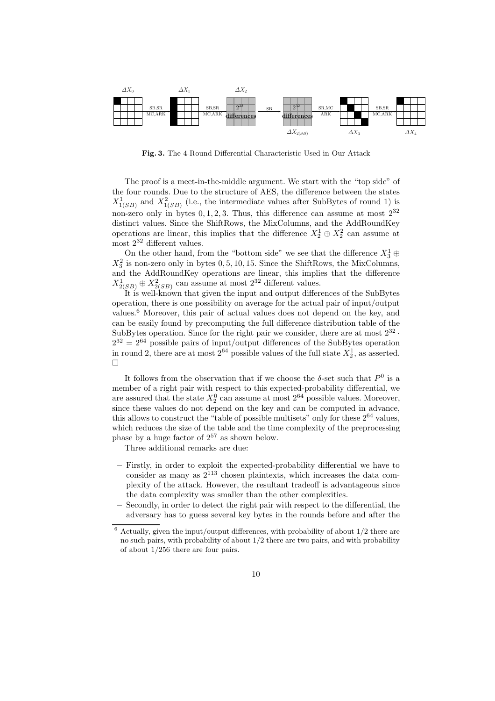

Fig. 3. The 4-Round Differential Characteristic Used in Our Attack

The proof is a meet-in-the-middle argument. We start with the "top side" of the four rounds. Due to the structure of AES, the difference between the states  $X^1_{1(SB)}$  and  $X^2_{1(SB)}$  (i.e., the intermediate values after SubBytes of round 1) is non-zero only in bytes  $0, 1, 2, 3$ . Thus, this difference can assume at most  $2^{32}$ distinct values. Since the ShiftRows, the MixColumns, and the AddRoundKey operations are linear, this implies that the difference  $X_2^1 \oplus X_2^2$  can assume at most  $2^{32}$  different values.

On the other hand, from the "bottom side" we see that the difference  $X_3^1 \oplus$  $X_3^2$  is non-zero only in bytes 0, 5, 10, 15. Since the ShiftRows, the MixColumns,  $\Lambda_3$  is non-zero only in bytes 0, 0, 10, 10. Since the Similar state mix Columns, and the AddRoundKey operations are linear, this implies that the difference  $X_{2(SB)}^1 \oplus X_{2(SB)}^2$  can assume at most  $2^{32}$  different values.

It is well-known that given the input and output differences of the SubBytes operation, there is one possibility on average for the actual pair of input/output values.<sup>6</sup> Moreover, this pair of actual values does not depend on the key, and can be easily found by precomputing the full difference distribution table of the SubBytes operation. Since for the right pair we consider, there are at most  $2^{32}$ .  $2^{32} = 2^{64}$  possible pairs of input/output differences of the SubBytes operation in round 2, there are at most  $2^{64}$  possible values of the full state  $X_2^1$ , as asserted. П

It follows from the observation that if we choose the  $\delta$ -set such that  $P^0$  is a member of a right pair with respect to this expected-probability differential, we are assured that the state  $X_2^0$  can assume at most  $2^{64}$  possible values. Moreover, since these values do not depend on the key and can be computed in advance, this allows to construct the "table of possible multisets" only for these  $2^{64}$  values, which reduces the size of the table and the time complexity of the preprocessing phase by a huge factor of  $2^{57}$  as shown below.

Three additional remarks are due:

- Firstly, in order to exploit the expected-probability differential we have to consider as many as  $2^{113}$  chosen plaintexts, which increases the data complexity of the attack. However, the resultant tradeoff is advantageous since the data complexity was smaller than the other complexities.
- Secondly, in order to detect the right pair with respect to the differential, the adversary has to guess several key bytes in the rounds before and after the

 $6$  Actually, given the input/output differences, with probability of about  $1/2$  there are no such pairs, with probability of about 1/2 there are two pairs, and with probability of about 1/256 there are four pairs.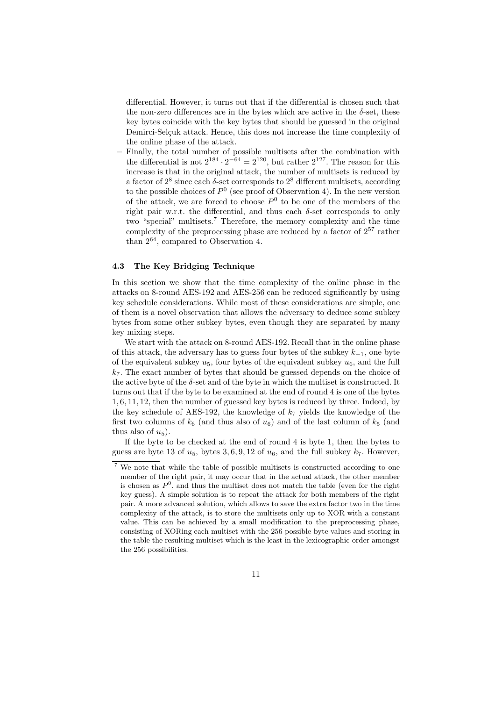differential. However, it turns out that if the differential is chosen such that the non-zero differences are in the bytes which are active in the  $\delta$ -set, these key bytes coincide with the key bytes that should be guessed in the original Demirci-Selçuk attack. Hence, this does not increase the time complexity of the online phase of the attack.

– Finally, the total number of possible multisets after the combination with the differential is not  $2^{184} \cdot 2^{-64} = 2^{120}$ , but rather  $2^{127}$ . The reason for this increase is that in the original attack, the number of multisets is reduced by a factor of  $2^8$  since each  $\delta$ -set corresponds to  $2^8$  different multisets, according to the possible choices of  $P^0$  (see proof of Observation 4). In the new version of the attack, we are forced to choose  $P^0$  to be one of the members of the right pair w.r.t. the differential, and thus each  $\delta$ -set corresponds to only two "special" multisets.<sup>7</sup> Therefore, the memory complexity and the time complexity of the preprocessing phase are reduced by a factor of  $2^{57}$  rather than 2<sup>64</sup>, compared to Observation 4.

### 4.3 The Key Bridging Technique

In this section we show that the time complexity of the online phase in the attacks on 8-round AES-192 and AES-256 can be reduced significantly by using key schedule considerations. While most of these considerations are simple, one of them is a novel observation that allows the adversary to deduce some subkey bytes from some other subkey bytes, even though they are separated by many key mixing steps.

We start with the attack on 8-round AES-192. Recall that in the online phase of this attack, the adversary has to guess four bytes of the subkey  $k_{-1}$ , one byte of the equivalent subkey  $u_5$ , four bytes of the equivalent subkey  $u_6$ , and the full  $k_7$ . The exact number of bytes that should be guessed depends on the choice of the active byte of the  $\delta$ -set and of the byte in which the multiset is constructed. It turns out that if the byte to be examined at the end of round 4 is one of the bytes 1, 6, 11, 12, then the number of guessed key bytes is reduced by three. Indeed, by the key schedule of AES-192, the knowledge of  $k<sub>7</sub>$  yields the knowledge of the first two columns of  $k_6$  (and thus also of  $u_6$ ) and of the last column of  $k_5$  (and thus also of  $u_5$ ).

If the byte to be checked at the end of round 4 is byte 1, then the bytes to guess are byte 13 of  $u_5$ , bytes 3, 6, 9, 12 of  $u_6$ , and the full subkey  $k_7$ . However,

We note that while the table of possible multisets is constructed according to one member of the right pair, it may occur that in the actual attack, the other member is chosen as  $P^0$ , and thus the multiset does not match the table (even for the right key guess). A simple solution is to repeat the attack for both members of the right pair. A more advanced solution, which allows to save the extra factor two in the time complexity of the attack, is to store the multisets only up to XOR with a constant value. This can be achieved by a small modification to the preprocessing phase, consisting of XORing each multiset with the 256 possible byte values and storing in the table the resulting multiset which is the least in the lexicographic order amongst the 256 possibilities.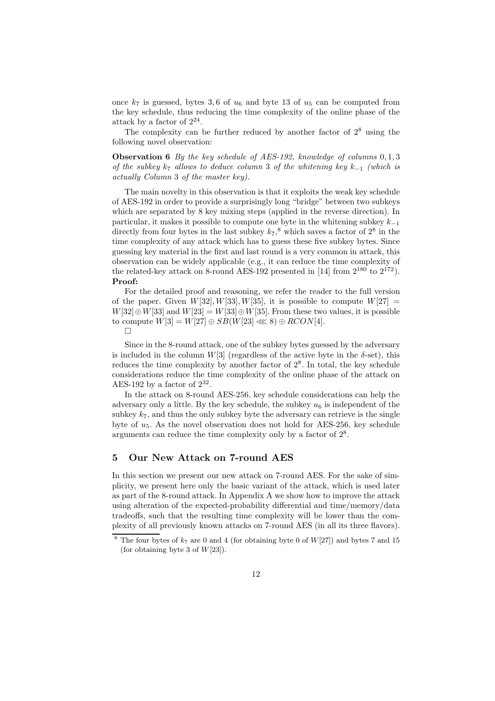once  $k_7$  is guessed, bytes 3,6 of  $u_6$  and byte 13 of  $u_5$  can be computed from the key schedule, thus reducing the time complexity of the online phase of the attack by a factor of  $2^{24}$ .

The complexity can be further reduced by another factor of  $2<sup>8</sup>$  using the following novel observation:

Observation 6 *By the key schedule of AES-192, knowledge of columns* 0, 1, 3 *of the subkey*  $k_7$  *allows to deduce column* 3 *of the whitening key*  $k_{−1}$  *(which is actually Column* 3 *of the master key).*

The main novelty in this observation is that it exploits the weak key schedule of AES-192 in order to provide a surprisingly long "bridge" between two subkeys which are separated by 8 key mixing steps (applied in the reverse direction). In particular, it makes it possible to compute one byte in the whitening subkey  $k_{-1}$ directly from four bytes in the last subkey  $k_7$ ,<sup>8</sup> which saves a factor of  $2^8$  in the time complexity of any attack which has to guess these five subkey bytes. Since guessing key material in the first and last round is a very common in attack, this observation can be widely applicable (e.g., it can reduce the time complexity of the related-key attack on 8-round AES-192 presented in [14] from  $2^{180}$  to  $2^{172}$ ). Proof:

For the detailed proof and reasoning, we refer the reader to the full version of the paper. Given  $W[32], W[33], W[35],$  it is possible to compute  $W[27] =$  $W[32] \oplus W[33]$  and  $W[23] = W[33] \oplus W[35]$ . From these two values, it is possible to compute  $W[3] = W[27] \oplus SB(W[23] \ll 8) \oplus RCON[4].$ 

 $\Box$ 

Since in the 8-round attack, one of the subkey bytes guessed by the adversary is included in the column W[3] (regardless of the active byte in the  $\delta$ -set), this reduces the time complexity by another factor of  $2<sup>8</sup>$ . In total, the key schedule considerations reduce the time complexity of the online phase of the attack on AES-192 by a factor of  $2^{32}$ .

In the attack on 8-round AES-256, key schedule considerations can help the adversary only a little. By the key schedule, the subkey  $u_6$  is independent of the subkey  $k_7$ , and thus the only subkey byte the adversary can retrieve is the single byte of  $u_5$ . As the novel observation does not hold for AES-256, key schedule arguments can reduce the time complexity only by a factor of  $2<sup>8</sup>$ .

# 5 Our New Attack on 7-round AES

In this section we present our new attack on 7-round AES. For the sake of simplicity, we present here only the basic variant of the attack, which is used later as part of the 8-round attack. In Appendix A we show how to improve the attack using alteration of the expected-probability differential and time/memory/data tradeoffs, such that the resulting time complexity will be lower than the complexity of all previously known attacks on 7-round AES (in all its three flavors).

The four bytes of  $k_7$  are 0 and 4 (for obtaining byte 0 of  $W[27]$ ) and bytes 7 and 15 (for obtaining byte 3 of  $W[23]$ ).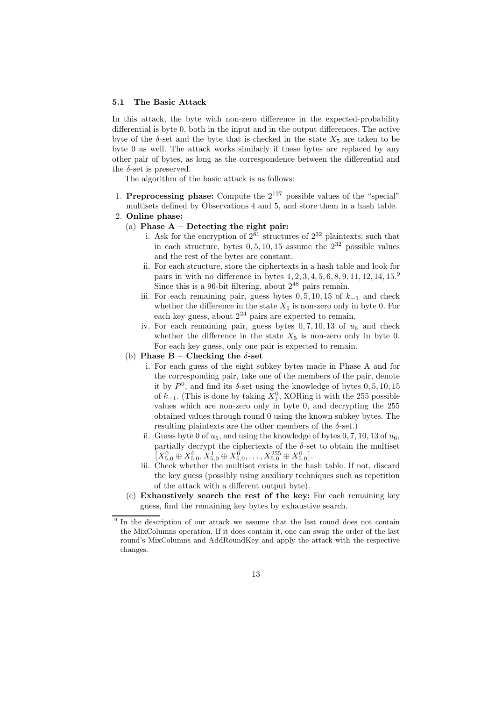#### 5.1 The Basic Attack

In this attack, the byte with non-zero difference in the expected-probability differential is byte 0, both in the input and in the output differences. The active byte of the  $\delta$ -set and the byte that is checked in the state  $X_5$  are taken to be byte 0 as well. The attack works similarly if these bytes are replaced by any other pair of bytes, as long as the correspondence between the differential and the  $\delta$ -set is preserved.

The algorithm of the basic attack is as follows:

- 1. **Preprocessing phase:** Compute the  $2^{127}$  possible values of the "special" multisets defined by Observations 4 and 5, and store them in a hash table.
- 2. Online phase:
	- (a) Phase  $A -$  Detecting the right pair:
		- i. Ask for the encryption of  $2^{81}$  structures of  $2^{32}$  plaintexts, such that in each structure, bytes  $0, 5, 10, 15$  assume the  $2^{32}$  possible values and the rest of the bytes are constant.
		- ii. For each structure, store the ciphertexts in a hash table and look for pairs in with no difference in bytes  $1, 2, 3, 4, 5, 6, 8, 9, 11, 12, 14, 15.9$ Since this is a 96-bit filtering, about  $2^{48}$  pairs remain.
		- iii. For each remaining pair, guess bytes  $0, 5, 10, 15$  of  $k_{−1}$  and check whether the difference in the state  $X_1$  is non-zero only in byte 0. For each key guess, about  $2^{24}$  pairs are expected to remain.
		- iv. For each remaining pair, guess bytes  $0, 7, 10, 13$  of  $u_6$  and check whether the difference in the state  $X_5$  is non-zero only in byte 0. For each key guess, only one pair is expected to remain.
	- (b) Phase  $B -$  Checking the  $\delta$ -set
		- i. For each guess of the eight subkey bytes made in Phase A and for the corresponding pair, take one of the members of the pair, denote it by  $P^0$ , and find its  $\delta$ -set using the knowledge of bytes  $0, 5, 10, 15$ of  $k_{-1}$ . (This is done by taking  $X_1^0$ , XORing it with the 255 possible values which are non-zero only in byte 0, and decrypting the 255 obtained values through round 0 using the known subkey bytes. The resulting plaintexts are the other members of the  $\delta$ -set.)
		- ii. Guess byte 0 of  $u_5$ , and using the knowledge of bytes 0, 7, 10, 13 of  $u_6$ , partially decrypt the ciphertexts of the  $\delta$ -set to obtain the multiset  $[X_{5,0}^0 \oplus X_{5,0}^0, X_{5,0}^1 \oplus X_{5,0}^0, \ldots, X_{5,0}^{255} \oplus X_{5,0}^0].$
		- iii. Check whether the multiset exists in the hash table. If not, discard the key guess (possibly using auxiliary techniques such as repetition of the attack with a different output byte).
	- (c) Exhaustively search the rest of the key: For each remaining key guess, find the remaining key bytes by exhaustive search.

<sup>&</sup>lt;sup>9</sup> In the description of our attack we assume that the last round does not contain the MixColumns operation. If it does contain it, one can swap the order of the last round's MixColumns and AddRoundKey and apply the attack with the respective changes.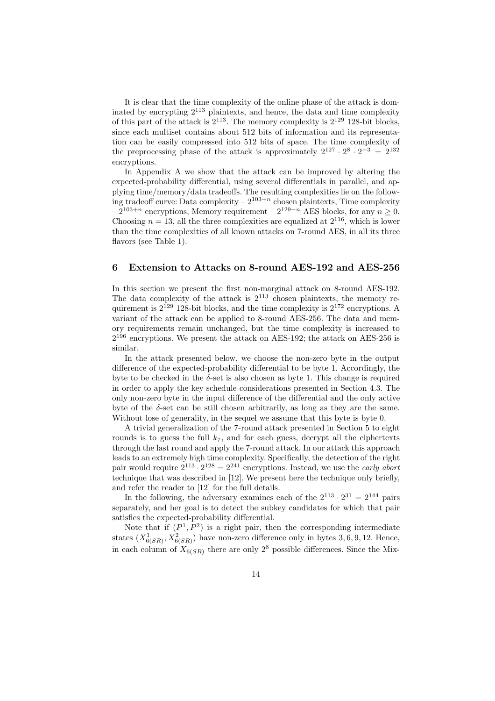It is clear that the time complexity of the online phase of the attack is dominated by encrypting 2<sup>113</sup> plaintexts, and hence, the data and time complexity of this part of the attack is  $2^{113}$ . The memory complexity is  $2^{129}$  128-bit blocks, since each multiset contains about 512 bits of information and its representation can be easily compressed into 512 bits of space. The time complexity of the preprocessing phase of the attack is approximately  $2^{127} \cdot 2^8 \cdot 2^{-3} = 2^{132}$ encryptions.

In Appendix A we show that the attack can be improved by altering the expected-probability differential, using several differentials in parallel, and applying time/memory/data tradeoffs. The resulting complexities lie on the following tradeoff curve: Data complexity  $-2^{103+n}$  chosen plaintexts, Time complexity  $-2^{103+n}$  encryptions, Memory requirement –  $2^{129-n}$  AES blocks, for any  $n > 0$ . Choosing  $n = 13$ , all the three complexities are equalized at  $2^{116}$ , which is lower than the time complexities of all known attacks on 7-round AES, in all its three flavors (see Table 1).

# 6 Extension to Attacks on 8-round AES-192 and AES-256

In this section we present the first non-marginal attack on 8-round AES-192. The data complexity of the attack is  $2^{113}$  chosen plaintexts, the memory requirement is  $2^{129}$  128-bit blocks, and the time complexity is  $2^{172}$  encryptions. A variant of the attack can be applied to 8-round AES-256. The data and memory requirements remain unchanged, but the time complexity is increased to 2 <sup>196</sup> encryptions. We present the attack on AES-192; the attack on AES-256 is similar.

In the attack presented below, we choose the non-zero byte in the output difference of the expected-probability differential to be byte 1. Accordingly, the byte to be checked in the  $\delta$ -set is also chosen as byte 1. This change is required in order to apply the key schedule considerations presented in Section 4.3. The only non-zero byte in the input difference of the differential and the only active byte of the  $\delta$ -set can be still chosen arbitrarily, as long as they are the same. Without lose of generality, in the sequel we assume that this byte is byte 0.

A trivial generalization of the 7-round attack presented in Section 5 to eight rounds is to guess the full  $k_7$ , and for each guess, decrypt all the ciphertexts through the last round and apply the 7-round attack. In our attack this approach leads to an extremely high time complexity. Specifically, the detection of the right pair would require  $2^{113} \cdot 2^{128} = 2^{241}$  encryptions. Instead, we use the *early abort* technique that was described in [12]. We present here the technique only briefly, and refer the reader to [12] for the full details.

In the following, the adversary examines each of the  $2^{113} \cdot 2^{31} = 2^{144}$  pairs separately, and her goal is to detect the subkey candidates for which that pair satisfies the expected-probability differential.

Note that if  $(P^1, P^2)$  is a right pair, then the corresponding intermediate states  $(X_{6(SR)}^1, X_{6(SR)}^2)$  have non-zero difference only in bytes 3, 6, 9, 12. Hence, in each column of  $X_{6(SR)}$  there are only 2<sup>8</sup> possible differences. Since the Mix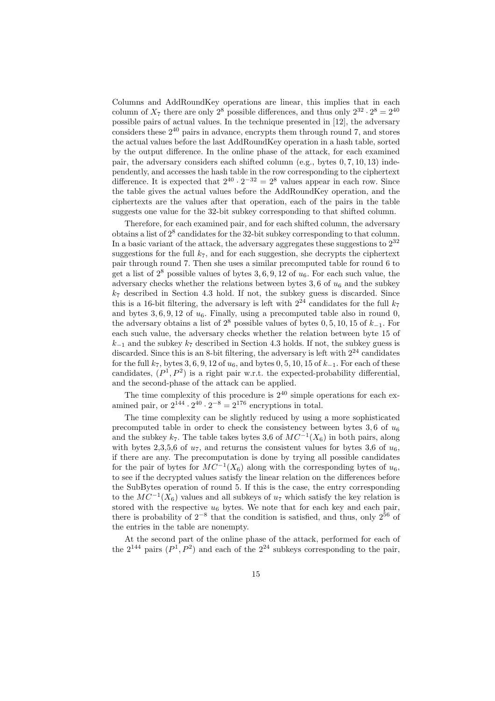Columns and AddRoundKey operations are linear, this implies that in each column of  $X_7$  there are only  $2^8$  possible differences, and thus only  $2^{32} \cdot 2^8 = 2^{40}$ possible pairs of actual values. In the technique presented in [12], the adversary considers these 2<sup>40</sup> pairs in advance, encrypts them through round 7, and stores the actual values before the last AddRoundKey operation in a hash table, sorted by the output difference. In the online phase of the attack, for each examined pair, the adversary considers each shifted column (e.g., bytes 0, 7, 10, 13) independently, and accesses the hash table in the row corresponding to the ciphertext difference. It is expected that  $2^{40} \cdot 2^{-32} = 2^8$  values appear in each row. Since the table gives the actual values before the AddRoundKey operation, and the ciphertexts are the values after that operation, each of the pairs in the table suggests one value for the 32-bit subkey corresponding to that shifted column.

Therefore, for each examined pair, and for each shifted column, the adversary obtains a list of  $2^8$  candidates for the 32-bit subkey corresponding to that column. In a basic variant of the attack, the adversary aggregates these suggestions to  $2^{32}$ suggestions for the full  $k_7$ , and for each suggestion, she decrypts the ciphertext pair through round 7. Then she uses a similar precomputed table for round 6 to get a list of  $2^8$  possible values of bytes 3, 6, 9, 12 of  $u_6$ . For each such value, the adversary checks whether the relations between bytes  $3, 6$  of  $u_6$  and the subkey  $k_7$  described in Section 4.3 hold. If not, the subkey guess is discarded. Since this is a 16-bit filtering, the adversary is left with  $2^{24}$  candidates for the full  $k_7$ and bytes  $3, 6, 9, 12$  of  $u_6$ . Finally, using a precomputed table also in round 0, the adversary obtains a list of  $2^8$  possible values of bytes 0, 5, 10, 15 of  $k_{-1}$ . For each such value, the adversary checks whether the relation between byte 15 of  $k_{-1}$  and the subkey  $k_7$  described in Section 4.3 holds. If not, the subkey guess is discarded. Since this is an 8-bit filtering, the adversary is left with  $2^{24}$  candidates for the full  $k_7$ , bytes 3, 6, 9, 12 of  $u_6$ , and bytes 0, 5, 10, 15 of  $k_{-1}$ . For each of these candidates,  $(P^1, P^2)$  is a right pair w.r.t. the expected-probability differential, and the second-phase of the attack can be applied.

The time complexity of this procedure is  $2^{40}$  simple operations for each examined pair, or  $2^{144} \cdot 2^{40} \cdot 2^{-8} = 2^{176}$  encryptions in total.

The time complexity can be slightly reduced by using a more sophisticated precomputed table in order to check the consistency between bytes 3, 6 of  $u_6$ and the subkey  $k_7$ . The table takes bytes 3,6 of  $MC^{-1}(X_6)$  in both pairs, along with bytes 2,3,5,6 of  $u_7$ , and returns the consistent values for bytes 3,6 of  $u_6$ , if there are any. The precomputation is done by trying all possible candidates for the pair of bytes for  $MC^{-1}(X_6)$  along with the corresponding bytes of  $u_6$ , to see if the decrypted values satisfy the linear relation on the differences before the SubBytes operation of round 5. If this is the case, the entry corresponding to the  $MC^{-1}(\bar{X}_6)$  values and all subkeys of  $u_7$  which satisfy the key relation is stored with the respective  $u_6$  bytes. We note that for each key and each pair, there is probability of  $2^{-8}$  that the condition is satisfied, and thus, only  $2^{56}$  of the entries in the table are nonempty.

At the second part of the online phase of the attack, performed for each of the  $2^{144}$  pairs  $(P^1, P^2)$  and each of the  $2^{24}$  subkeys corresponding to the pair,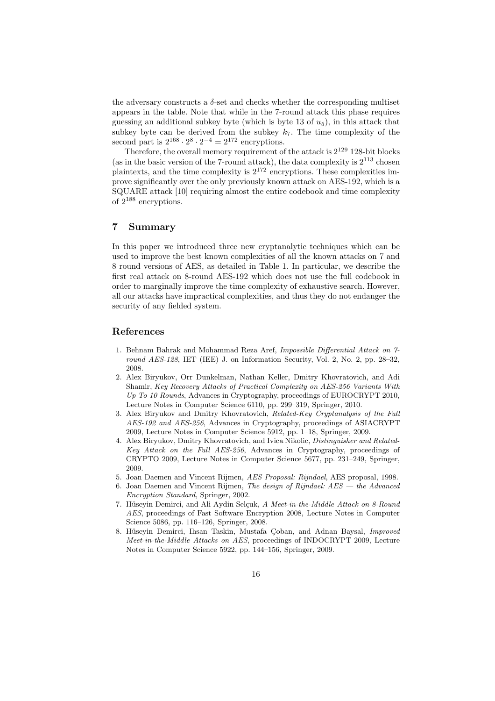the adversary constructs a  $\delta$ -set and checks whether the corresponding multiset appears in the table. Note that while in the 7-round attack this phase requires guessing an additional subkey byte (which is byte  $(13 \text{ of } u_5)$ ), in this attack that subkey byte can be derived from the subkey  $k_7$ . The time complexity of the second part is  $2^{168} \cdot 2^8 \cdot 2^{-4} = 2^{172}$  encryptions.

Therefore, the overall memory requirement of the attack is  $2^{129}$  128-bit blocks (as in the basic version of the 7-round attack), the data complexity is  $2^{113}$  chosen plaintexts, and the time complexity is  $2^{172}$  encryptions. These complexities improve significantly over the only previously known attack on AES-192, which is a SQUARE attack [10] requiring almost the entire codebook and time complexity of 2<sup>188</sup> encryptions.

## 7 Summary

In this paper we introduced three new cryptanalytic techniques which can be used to improve the best known complexities of all the known attacks on 7 and 8 round versions of AES, as detailed in Table 1. In particular, we describe the first real attack on 8-round AES-192 which does not use the full codebook in order to marginally improve the time complexity of exhaustive search. However, all our attacks have impractical complexities, and thus they do not endanger the security of any fielded system.

### References

- 1. Behnam Bahrak and Mohammad Reza Aref, Impossible Differential Attack on 7 round AES-128, IET (IEE) J. on Information Security, Vol. 2, No. 2, pp. 28-32, 2008.
- 2. Alex Biryukov, Orr Dunkelman, Nathan Keller, Dmitry Khovratovich, and Adi Shamir, Key Recovery Attacks of Practical Complexity on AES-256 Variants With Up To 10 Rounds, Advances in Cryptography, proceedings of EUROCRYPT 2010, Lecture Notes in Computer Science 6110, pp. 299–319, Springer, 2010.
- 3. Alex Biryukov and Dmitry Khovratovich, Related-Key Cryptanalysis of the Full AES-192 and AES-256, Advances in Cryptography, proceedings of ASIACRYPT 2009, Lecture Notes in Computer Science 5912, pp. 1–18, Springer, 2009.
- 4. Alex Biryukov, Dmitry Khovratovich, and Ivica Nikolic, Distinguisher and Related-Key Attack on the Full AES-256, Advances in Cryptography, proceedings of CRYPTO 2009, Lecture Notes in Computer Science 5677, pp. 231–249, Springer, 2009.
- 5. Joan Daemen and Vincent Rijmen, AES Proposal: Rijndael, AES proposal, 1998.
- 6. Joan Daemen and Vincent Rijmen, The design of Rijndael: AES the Advanced Encryption Standard, Springer, 2002.
- 7. Hüseyin Demirci, and Ali Aydin Selçuk, A Meet-in-the-Middle Attack on 8-Round AES, proceedings of Fast Software Encryption 2008, Lecture Notes in Computer Science 5086, pp. 116–126, Springer, 2008.
- 8. Hüseyin Demirci, Ihsan Taskin, Mustafa Çoban, and Adnan Baysal, Improved Meet-in-the-Middle Attacks on AES, proceedings of INDOCRYPT 2009, Lecture Notes in Computer Science 5922, pp. 144–156, Springer, 2009.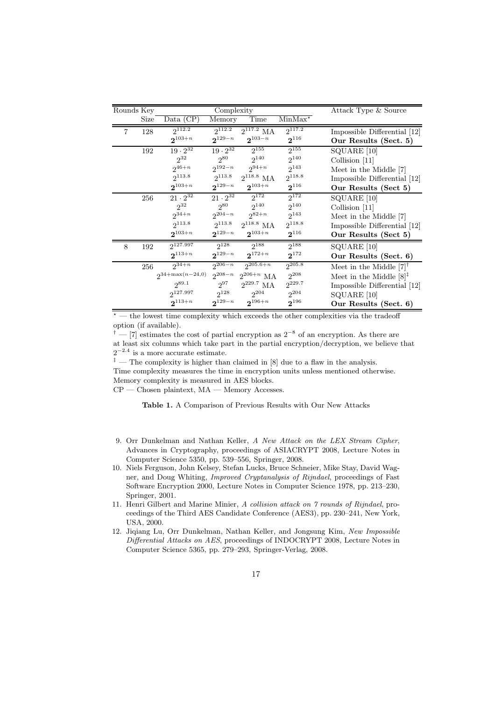| Rounds Key |      | Complexity                                       |                   |                            |                  | Attack Type & Source                  |
|------------|------|--------------------------------------------------|-------------------|----------------------------|------------------|---------------------------------------|
|            | Size | $Data \overline{(CP)}$                           | Memory            | Time                       | $MinMax^{\star}$ |                                       |
| 7          | 128  | $2^{112.2}$                                      | $2^{112.2}$       | $2^{117.2}$ MA             | $2^{117.2}$      | Impossible Differential [12]          |
|            |      | $2^{103+n}$                                      | $2^{129-n}$       | $2^{103-n}$                | $2^{116}$        | Our Results (Sect. 5)                 |
|            | 192  | $19 \cdot 2^{32}$                                | $19 \cdot 2^{32}$ | $2^{155}$                  | $2^{155}$        | SQUARE [10]                           |
|            |      | $2^{32}$                                         | $2^{80}$          | 2 <sup>140</sup>           | $2^{140}$        | Collision [11]                        |
|            |      | $2^{46+n}$                                       |                   | $2^{192-n}$ $2^{94+n}$     | $2^{143}$        | Meet in the Middle [7]                |
|            |      | $2^{113.8}$                                      |                   | $2^{113.8}$ $2^{118.8}$ MA | $2^{118.8}$      | Impossible Differential [12]          |
|            |      | $2^{103+n}$                                      | $2^{129-n}$       | $2^{103+n}$                | $2^{116}$        | Our Results (Sect 5)                  |
|            | 256  | $21 \cdot 2^{32}$                                | $21 \cdot 2^{32}$ | $2^{172}$                  | $2^{172}$        | SQUARE [10]                           |
|            |      | $2^{32}$                                         | $2^{80}$          | $2^{140}$                  | $2^{140}$        | Collision $[11]$                      |
|            |      | $2^{34+n}$                                       |                   | $2^{204-n}$ $2^{82+n}$     | $2^{143}$        | Meet in the Middle [7]                |
|            |      | $2^{113.8}$                                      | $2^{113.8}$       | $2^{118.8}$ MA             | $2^{118.8}$      | Impossible Differential [12]          |
|            |      | $2^{103+n}$                                      | $2^{129-n}$       | $2^{103+n}$                | $2^{116}$        | Our Results (Sect 5)                  |
| 8          | 192  | $2^{127.997}$                                    |                   | $2^{128}$ $2^{188}$        | $2^{188}$        | SQUARE [10]                           |
|            |      | $2^{113+n}$                                      | $2^{129-n}$       | $\mathbf{2}^{172+n}$       | $2^{172}$        | Our Results (Sect. 6)                 |
|            | 256  | $2^{34+n}$                                       | $2^{206-n}$       | $2^{205.6+n}$              | $2^{205.8}$      | Meet in the Middle $[7]$ <sup>†</sup> |
|            |      | $2^{34+\max(n-24,0)}$ $2^{208-n}$ $2^{206+n}$ MA |                   |                            | $2^{208}$        | Meet in the Middle $[8]^{\ddagger}$   |
|            |      | $2^{89.1}$                                       | $2^{97}$          | $2^{229.7}$ MA             | $2^{229.7}$      | Impossible Differential [12]          |
|            |      | $2^{127.997}$                                    | $2^{128}$         | $2^{204}$                  | $2^{204}$        | SQUARE [10]                           |
|            |      | $2^{113+n}$                                      | $2^{129-n}$       | $2^{196+n}$                | $2^{196}$        | Our Results (Sect. 6)                 |

 $*$  — the lowest time complexity which exceeds the other complexities via the tradeoff option (if available).

<sup>†</sup> — [7] estimates the cost of partial encryption as  $2^{-8}$  of an encryption. As there are at least six columns which take part in the partial encryption/decryption, we believe that  $2^{-2.4}$  is a more accurate estimate.

 $^\ddag$  — The complexity is higher than claimed in [8] due to a flaw in the analysis.

Time complexity measures the time in encryption units unless mentioned otherwise. Memory complexity is measured in AES blocks.

 $CP$  — Chosen plaintext,  $MA$  — Memory Accesses.

Table 1. A Comparison of Previous Results with Our New Attacks

- 9. Orr Dunkelman and Nathan Keller, A New Attack on the LEX Stream Cipher, Advances in Cryptography, proceedings of ASIACRYPT 2008, Lecture Notes in Computer Science 5350, pp. 539–556, Springer, 2008.
- 10. Niels Ferguson, John Kelsey, Stefan Lucks, Bruce Schneier, Mike Stay, David Wagner, and Doug Whiting, Improved Cryptanalysis of Rijndael, proceedings of Fast Software Encryption 2000, Lecture Notes in Computer Science 1978, pp. 213–230, Springer, 2001.
- 11. Henri Gilbert and Marine Minier, A collision attack on 7 rounds of Rijndael, proceedings of the Third AES Candidate Conference (AES3), pp. 230–241, New York, USA, 2000.
- 12. Jiqiang Lu, Orr Dunkelman, Nathan Keller, and Jongsung Kim, New Impossible Differential Attacks on AES, proceedings of INDOCRYPT 2008, Lecture Notes in Computer Science 5365, pp. 279–293, Springer-Verlag, 2008.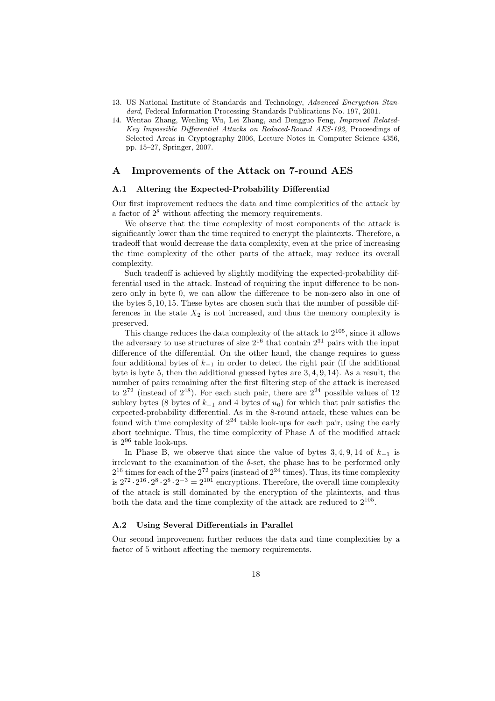- 13. US National Institute of Standards and Technology, Advanced Encryption Standard, Federal Information Processing Standards Publications No. 197, 2001.
- 14. Wentao Zhang, Wenling Wu, Lei Zhang, and Dengguo Feng, Improved Related-Key Impossible Differential Attacks on Reduced-Round AES-192, Proceedings of Selected Areas in Cryptography 2006, Lecture Notes in Computer Science 4356, pp. 15–27, Springer, 2007.

# A Improvements of the Attack on 7-round AES

### A.1 Altering the Expected-Probability Differential

Our first improvement reduces the data and time complexities of the attack by a factor of  $2<sup>8</sup>$  without affecting the memory requirements.

We observe that the time complexity of most components of the attack is significantly lower than the time required to encrypt the plaintexts. Therefore, a tradeoff that would decrease the data complexity, even at the price of increasing the time complexity of the other parts of the attack, may reduce its overall complexity.

Such tradeoff is achieved by slightly modifying the expected-probability differential used in the attack. Instead of requiring the input difference to be nonzero only in byte 0, we can allow the difference to be non-zero also in one of the bytes 5, 10, 15. These bytes are chosen such that the number of possible differences in the state  $X_2$  is not increased, and thus the memory complexity is preserved.

This change reduces the data complexity of the attack to  $2^{105}$ , since it allows the adversary to use structures of size  $2^{16}$  that contain  $2^{31}$  pairs with the input difference of the differential. On the other hand, the change requires to guess four additional bytes of  $k_{-1}$  in order to detect the right pair (if the additional byte is byte 5, then the additional guessed bytes are 3, 4, 9, 14). As a result, the number of pairs remaining after the first filtering step of the attack is increased to  $2^{72}$  (instead of  $2^{48}$ ). For each such pair, there are  $2^{24}$  possible values of 12 subkey bytes (8 bytes of  $k_{-1}$  and 4 bytes of  $u_6$ ) for which that pair satisfies the expected-probability differential. As in the 8-round attack, these values can be found with time complexity of  $2^{24}$  table look-ups for each pair, using the early abort technique. Thus, the time complexity of Phase A of the modified attack is  $2^{96}$  table look-ups.

In Phase B, we observe that since the value of bytes  $3, 4, 9, 14$  of  $k_{-1}$  is irrelevant to the examination of the  $\delta$ -set, the phase has to be performed only  $2^{16}$  times for each of the  $2^{72}$  pairs (instead of  $2^{24}$  times). Thus, its time complexity is  $2^{72} \cdot 2^{16} \cdot 2^8 \cdot 2^8 \cdot 2^{-3} = 2^{101}$  encryptions. Therefore, the overall time complexity of the attack is still dominated by the encryption of the plaintexts, and thus both the data and the time complexity of the attack are reduced to  $2^{105}$ .

### A.2 Using Several Differentials in Parallel

Our second improvement further reduces the data and time complexities by a factor of 5 without affecting the memory requirements.